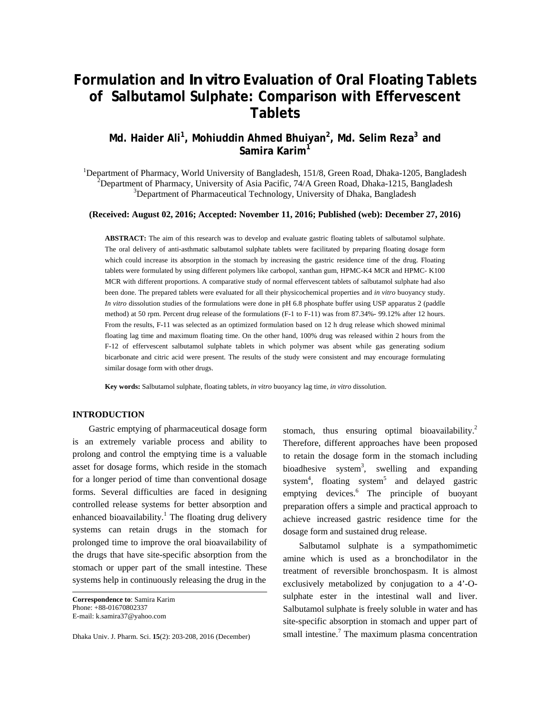# **Formulation and** *In vitro* **Evaluation of Oral Floating Tablets of Salbutamol Sulphate: Comparison with Effervescent Tablets**

# **Md. Haider Ali<sup>1</sup> , Mohiuddin Ahmed Bhuiyan<sup>2</sup> , Md. Selim Reza3 and Samira Karim<sup>1</sup>**

<sup>1</sup>Department of Pharmacy, World University of Bangladesh, 151/8, Green Road, Dhaka-1205, Bangladesh <sup>2</sup>Department of Pharmacy, University of Asia Pacific, 74/A Green Road, Dhaka-1215, Bangladesh <sup>3</sup>Department of Pharmaceutical Technology, University of Dhaka, Bangladesh

**(Received: August 02, 2016; Accepted: November 11, 2016; Published (web): December 27, 2016)** 

**ABSTRACT:** The aim of this research was to develop and evaluate gastric floating tablets of salbutamol sulphate. The oral delivery of anti-asthmatic salbutamol sulphate tablets were facilitated by preparing floating dosage form which could increase its absorption in the stomach by increasing the gastric residence time of the drug. Floating tablets were formulated by using different polymers like carbopol, xanthan gum, HPMC-K4 MCR and HPMC- K100 MCR with different proportions. A comparative study of normal effervescent tablets of salbutamol sulphate had also been done. The prepared tablets were evaluated for all their physicochemical properties and *in vitro* buoyancy study. *In vitro* dissolution studies of the formulations were done in pH 6.8 phosphate buffer using USP apparatus 2 (paddle method) at 50 rpm. Percent drug release of the formulations (F-1 to F-11) was from 87.34%- 99.12% after 12 hours. From the results, F-11 was selected as an optimized formulation based on 12 h drug release which showed minimal floating lag time and maximum floating time. On the other hand, 100% drug was released within 2 hours from the F-12 of effervescent salbutamol sulphate tablets in which polymer was absent while gas generating sodium bicarbonate and citric acid were present. The results of the study were consistent and may encourage formulating similar dosage form with other drugs.

**Key words:** Salbutamol sulphate, floating tablets, *in vitro* buoyancy lag time, *in vitro* dissolution.

# **INTRODUCTION**

 Gastric emptying of pharmaceutical dosage form is an extremely variable process and ability to prolong and control the emptying time is a valuable asset for dosage forms, which reside in the stomach for a longer period of time than conventional dosage forms. Several difficulties are faced in designing controlled release systems for better absorption and enhanced bioavailability.<sup>1</sup> The floating drug delivery systems can retain drugs in the stomach for prolonged time to improve the oral bioavailability of the drugs that have site-specific absorption from the stomach or upper part of the small intestine. These systems help in continuously releasing the drug in the

**Correspondence to**: Samira Karim Phone: +88-01670802337 E-mail: k.samira37@yahoo.com

Dhaka Univ. J. Pharm. Sci. **15**(2): 203-208, 2016 (December)

stomach, thus ensuring optimal bioavailability.<sup>2</sup> Therefore, different approaches have been proposed to retain the dosage form in the stomach including bioadhesive system<sup>3</sup>, swelling and expanding system<sup>4</sup>, floating system<sup>5</sup> and delayed gastric emptying devices.<sup>6</sup> The principle of buoyant preparation offers a simple and practical approach to achieve increased gastric residence time for the dosage form and sustained drug release.

 Salbutamol sulphate is a sympathomimetic amine which is used as a bronchodilator in the treatment of reversible bronchospasm. It is almost exclusively metabolized by conjugation to a 4'-Osulphate ester in the intestinal wall and liver. Salbutamol sulphate is freely soluble in water and has site-specific absorption in stomach and upper part of small intestine.<sup>7</sup> The maximum plasma concentration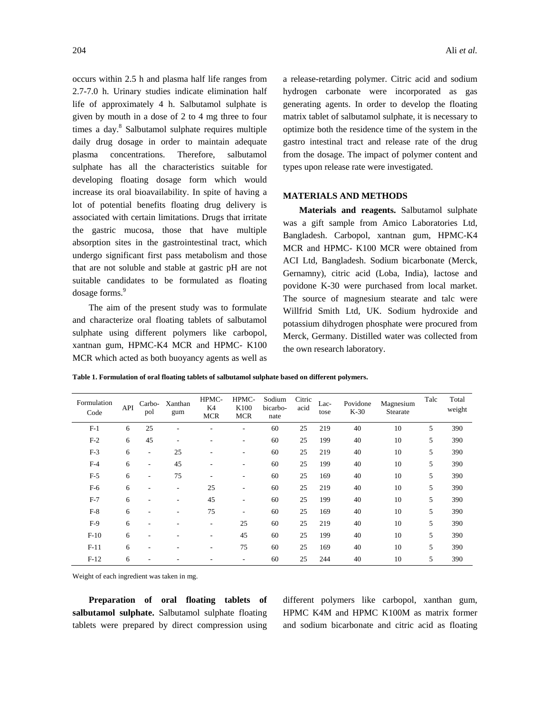occurs within 2.5 h and plasma half life ranges from 2.7-7.0 h. Urinary studies indicate elimination half life of approximately 4 h. Salbutamol sulphate is given by mouth in a dose of 2 to 4 mg three to four times a day.<sup>8</sup> Salbutamol sulphate requires multiple daily drug dosage in order to maintain adequate plasma concentrations. Therefore, salbutamol sulphate has all the characteristics suitable for developing floating dosage form which would increase its oral bioavailability. In spite of having a lot of potential benefits floating drug delivery is associated with certain limitations. Drugs that irritate the gastric mucosa, those that have multiple absorption sites in the gastrointestinal tract, which undergo significant first pass metabolism and those that are not soluble and stable at gastric pH are not suitable candidates to be formulated as floating dosage forms.<sup>9</sup>

 The aim of the present study was to formulate and characterize oral floating tablets of salbutamol sulphate using different polymers like carbopol, xantnan gum, HPMC-K4 MCR and HPMC- K100 MCR which acted as both buoyancy agents as well as a release-retarding polymer. Citric acid and sodium hydrogen carbonate were incorporated as gas generating agents. In order to develop the floating matrix tablet of salbutamol sulphate, it is necessary to optimize both the residence time of the system in the gastro intestinal tract and release rate of the drug from the dosage. The impact of polymer content and types upon release rate were investigated.

#### **MATERIALS AND METHODS**

 **Materials and reagents.** Salbutamol sulphate was a gift sample from Amico Laboratories Ltd, Bangladesh. Carbopol, xantnan gum, HPMC-K4 MCR and HPMC- K100 MCR were obtained from ACI Ltd, Bangladesh. Sodium bicarbonate (Merck, Gernamny), citric acid (Loba, India), lactose and povidone K-30 were purchased from local market. The source of magnesium stearate and talc were Willfrid Smith Ltd, UK. Sodium hydroxide and potassium dihydrogen phosphate were procured from Merck, Germany. Distilled water was collected from the own research laboratory.

**Table 1. Formulation of oral floating tablets of salbutamol sulphate based on different polymers.** 

| Formulation<br>Code | API | Carbo-<br>pol            | Xanthan<br>gum           | HPMC-<br>K4<br><b>MCR</b> | HPMC-<br>K100<br><b>MCR</b> | Sodium<br>bicarbo-<br>nate | Citric<br>acid | Lac-<br>tose | Povidone<br>$K-30$ | Magnesium<br>Stearate | Talc | Total<br>weight |
|---------------------|-----|--------------------------|--------------------------|---------------------------|-----------------------------|----------------------------|----------------|--------------|--------------------|-----------------------|------|-----------------|
| $F-1$               | 6   | 25                       |                          |                           | ۰                           | 60                         | 25             | 219          | 40                 | 10                    | 5    | 390             |
| $F-2$               | 6   | 45                       |                          |                           | ۰                           | 60                         | 25             | 199          | 40                 | 10                    | 5    | 390             |
| $F-3$               | 6   | ۰.                       | 25                       |                           | ٠                           | 60                         | 25             | 219          | 40                 | 10                    | 5    | 390             |
| $F-4$               | 6   | ۰.                       | 45                       |                           | ٠                           | 60                         | 25             | 199          | 40                 | 10                    | 5    | 390             |
| $F-5$               | 6   | $\overline{\phantom{a}}$ | 75                       | ٠                         | $\overline{\phantom{a}}$    | 60                         | 25             | 169          | 40                 | 10                    | 5    | 390             |
| $F-6$               | 6   | ٠                        | $\overline{\phantom{a}}$ | 25                        | ٠                           | 60                         | 25             | 219          | 40                 | 10                    | 5    | 390             |
| $F-7$               | 6   | ٠                        |                          | 45                        | ٠                           | 60                         | 25             | 199          | 40                 | 10                    | 5    | 390             |
| $F-8$               | 6   | ۰                        |                          | 75                        | ٠                           | 60                         | 25             | 169          | 40                 | 10                    | 5    | 390             |
| $F-9$               | 6   | ۰                        |                          | ٠                         | 25                          | 60                         | 25             | 219          | 40                 | 10                    | 5    | 390             |
| $F-10$              | 6   | ۰                        |                          | ٠                         | 45                          | 60                         | 25             | 199          | 40                 | 10                    | 5    | 390             |
| $F-11$              | 6   | ۰                        |                          |                           | 75                          | 60                         | 25             | 169          | 40                 | 10                    | 5    | 390             |
| $F-12$              | 6   |                          |                          |                           | ۰                           | 60                         | 25             | 244          | 40                 | 10                    | 5    | 390             |

Weight of each ingredient was taken in mg.

 **Preparation of oral floating tablets of salbutamol sulphate.** Salbutamol sulphate floating tablets were prepared by direct compression using

different polymers like carbopol, xanthan gum, HPMC K4M and HPMC K100M as matrix former and sodium bicarbonate and citric acid as floating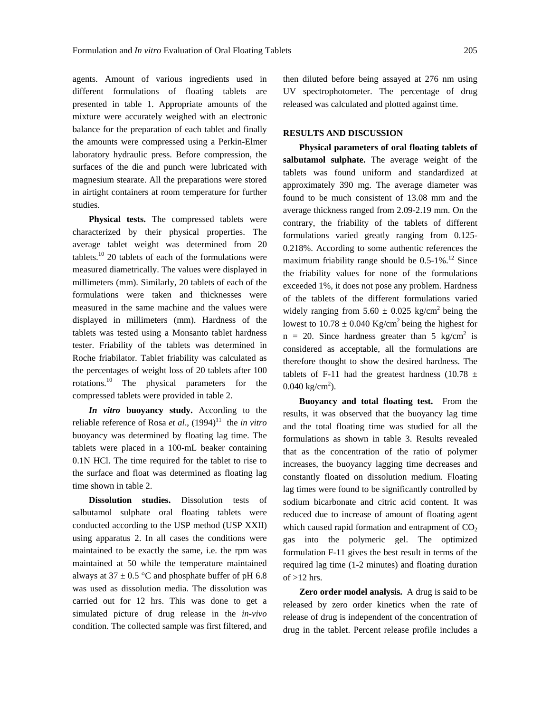agents. Amount of various ingredients used in different formulations of floating tablets are presented in table 1. Appropriate amounts of the mixture were accurately weighed with an electronic balance for the preparation of each tablet and finally the amounts were compressed using a Perkin-Elmer laboratory hydraulic press. Before compression, the surfaces of the die and punch were lubricated with magnesium stearate. All the preparations were stored in airtight containers at room temperature for further studies.

 **Physical tests.** The compressed tablets were characterized by their physical properties. The average tablet weight was determined from 20 tablets.<sup>10</sup> 20 tablets of each of the formulations were measured diametrically. The values were displayed in millimeters (mm). Similarly, 20 tablets of each of the formulations were taken and thicknesses were measured in the same machine and the values were displayed in millimeters (mm). Hardness of the tablets was tested using a Monsanto tablet hardness tester. Friability of the tablets was determined in Roche friabilator. Tablet friability was calculated as the percentages of weight loss of 20 tablets after 100 rotations.10 The physical parameters for the compressed tablets were provided in table 2.

*In vitro* **buoyancy study.** According to the reliable reference of Rosa *et al.*,  $(1994)^{11}$  the *in vitro* buoyancy was determined by floating lag time. The tablets were placed in a 100-mL beaker containing 0.1N HCl. The time required for the tablet to rise to the surface and float was determined as floating lag time shown in table 2.

 **Dissolution studies.** Dissolution tests of salbutamol sulphate oral floating tablets were conducted according to the USP method (USP XXII) using apparatus 2. In all cases the conditions were maintained to be exactly the same, i.e. the rpm was maintained at 50 while the temperature maintained always at  $37 \pm 0.5$  °C and phosphate buffer of pH 6.8 was used as dissolution media. The dissolution was carried out for 12 hrs. This was done to get a simulated picture of drug release in the *in-vivo* condition. The collected sample was first filtered, and then diluted before being assayed at 276 nm using UV spectrophotometer. The percentage of drug released was calculated and plotted against time.

## **RESULTS AND DISCUSSION**

 **Physical parameters of oral floating tablets of salbutamol sulphate.** The average weight of the tablets was found uniform and standardized at approximately 390 mg. The average diameter was found to be much consistent of 13.08 mm and the average thickness ranged from 2.09-2.19 mm. On the contrary, the friability of the tablets of different formulations varied greatly ranging from 0.125- 0.218%. According to some authentic references the maximum friability range should be  $0.5$ -1%.<sup>12</sup> Since the friability values for none of the formulations exceeded 1%, it does not pose any problem. Hardness of the tablets of the different formulations varied widely ranging from  $5.60 \pm 0.025$  kg/cm<sup>2</sup> being the lowest to  $10.78 \pm 0.040$  Kg/cm<sup>2</sup> being the highest for  $n = 20$ . Since hardness greater than 5 kg/cm<sup>2</sup> is considered as acceptable, all the formulations are therefore thought to show the desired hardness. The tablets of F-11 had the greatest hardness (10.78  $\pm$  $0.040 \text{ kg/cm}^2$ ).

 **Buoyancy and total floating test.** From the results, it was observed that the buoyancy lag time and the total floating time was studied for all the formulations as shown in table 3. Results revealed that as the concentration of the ratio of polymer increases, the buoyancy lagging time decreases and constantly floated on dissolution medium. Floating lag times were found to be significantly controlled by sodium bicarbonate and citric acid content. It was reduced due to increase of amount of floating agent which caused rapid formation and entrapment of  $CO<sub>2</sub>$ gas into the polymeric gel. The optimized formulation F-11 gives the best result in terms of the required lag time (1-2 minutes) and floating duration of  $>12$  hrs.

**Zero order model analysis.** A drug is said to be released by zero order kinetics when the rate of release of drug is independent of the concentration of drug in the tablet. Percent release profile includes a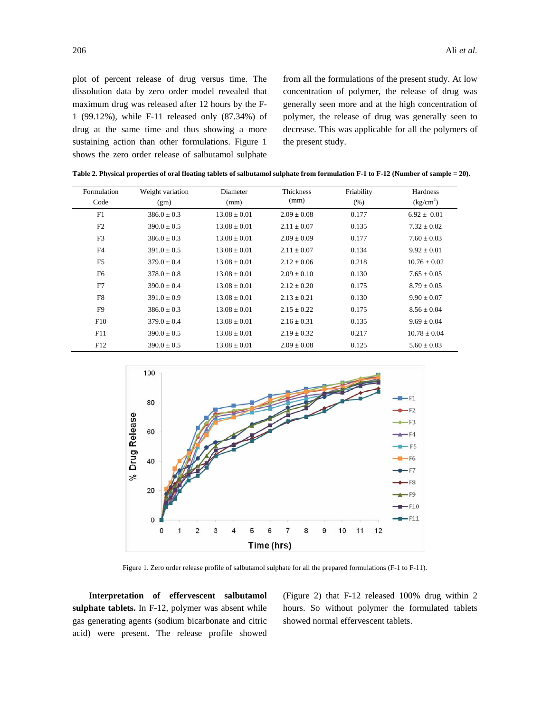plot of percent release of drug versus time. The dissolution data by zero order model revealed that maximum drug was released after 12 hours by the F-1 (99.12%), while F-11 released only (87.34%) of drug at the same time and thus showing a more sustaining action than other formulations. Figure 1 shows the zero order release of salbutamol sulphate from all the formulations of the present study. At low concentration of polymer, the release of drug was generally seen more and at the high concentration of polymer, the release of drug was generally seen to decrease. This was applicable for all the polymers of the present study.

| Formulation    | Weight variation | Diameter         | Thickness       | Friability | Hardness              |  |
|----------------|------------------|------------------|-----------------|------------|-----------------------|--|
| Code           | (gm)             | (mm)             | (mm)            | (% )       | (kg/cm <sup>2</sup> ) |  |
| F1             | $386.0 \pm 0.3$  | $13.08 \pm 0.01$ | $2.09 \pm 0.08$ | 0.177      | $6.92 \pm 0.01$       |  |
| F <sub>2</sub> | $390.0 \pm 0.5$  | $13.08 \pm 0.01$ | $2.11 \pm 0.07$ | 0.135      | $7.32 \pm 0.02$       |  |
| F <sub>3</sub> | $386.0 \pm 0.3$  | $13.08 \pm 0.01$ | $2.09 \pm 0.09$ | 0.177      | $7.60 \pm 0.03$       |  |
| F4             | $391.0 \pm 0.5$  | $13.08 \pm 0.01$ | $2.11 \pm 0.07$ | 0.134      | $9.92 \pm 0.01$       |  |
| F <sub>5</sub> | $379.0 \pm 0.4$  | $13.08 \pm 0.01$ | $2.12 \pm 0.06$ | 0.218      | $10.76 \pm 0.02$      |  |
| F <sub>6</sub> | $378.0 \pm 0.8$  | $13.08 \pm 0.01$ | $2.09 \pm 0.10$ | 0.130      | $7.65 \pm 0.05$       |  |
| F7             | $390.0 \pm 0.4$  | $13.08 \pm 0.01$ | $2.12 \pm 0.20$ | 0.175      | $8.79 \pm 0.05$       |  |
| F8             | $391.0 \pm 0.9$  | $13.08 \pm 0.01$ | $2.13 \pm 0.21$ | 0.130      | $9.90 \pm 0.07$       |  |
| F <sub>9</sub> | $386.0 \pm 0.3$  | $13.08 \pm 0.01$ | $2.15 \pm 0.22$ | 0.175      | $8.56 \pm 0.04$       |  |
| F10            | $379.0 \pm 0.4$  | $13.08 \pm 0.01$ | $2.16 \pm 0.31$ | 0.135      | $9.69 \pm 0.04$       |  |
| F11            | $390.0 \pm 0.5$  | $13.08 \pm 0.01$ | $2.19 \pm 0.32$ | 0.217      | $10.78 \pm 0.04$      |  |
| F12            | $390.0 \pm 0.5$  | $13.08 \pm 0.01$ | $2.09 \pm 0.08$ | 0.125      | $5.60 \pm 0.03$       |  |

**Table 2. Physical properties of oral floating tablets of salbutamol sulphate from formulation F-1 to F-12 (Number of sample = 20).** 



Figure 1. Zero order release profile of salbutamol sulphate for all the prepared formulations (F-1 to F-11).

 **Interpretation of effervescent salbutamol sulphate tablets.** In F-12, polymer was absent while gas generating agents (sodium bicarbonate and citric acid) were present. The release profile showed (Figure 2) that F-12 released 100% drug within 2 hours. So without polymer the formulated tablets showed normal effervescent tablets.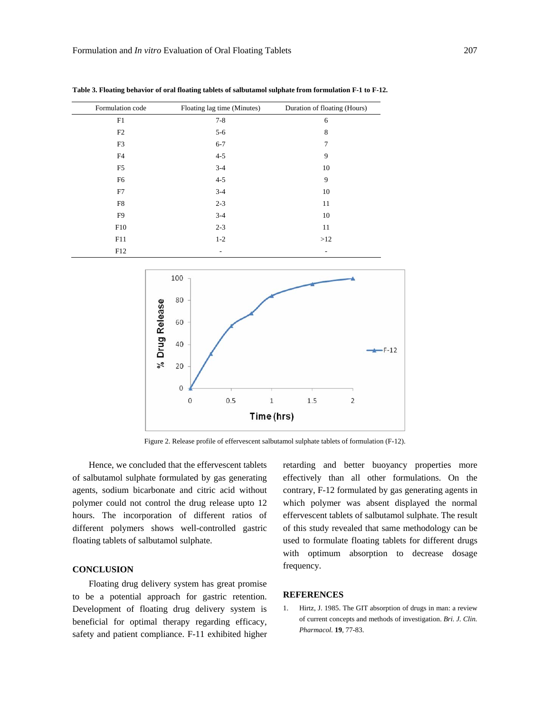| Formulation code | Floating lag time (Minutes) | Duration of floating (Hours) |
|------------------|-----------------------------|------------------------------|
| F1               | $7 - 8$                     | 6                            |
| F2               | $5 - 6$                     | 8                            |
| F3               | $6 - 7$                     | 7                            |
| F4               | $4 - 5$                     | 9                            |
| F <sub>5</sub>   | $3 - 4$                     | 10                           |
| F <sub>6</sub>   | $4 - 5$                     | 9                            |
| F7               | $3 - 4$                     | 10                           |
| F8               | $2 - 3$                     | 11                           |
| F <sub>9</sub>   | $3 - 4$                     | 10                           |
| F10              | $2 - 3$                     | 11                           |
| F11              | $1 - 2$                     | >12                          |
| F12              | ٠                           | $\overline{\phantom{a}}$     |

**Table 3. Floating behavior of oral floating tablets of salbutamol sulphate from formulation F-1 to F-12.** 



Figure 2. Release profile of effervescent salbutamol sulphate tablets of formulation (F-12).

 Hence, we concluded that the effervescent tablets of salbutamol sulphate formulated by gas generating agents, sodium bicarbonate and citric acid without polymer could not control the drug release upto 12 hours. The incorporation of different ratios of different polymers shows well-controlled gastric floating tablets of salbutamol sulphate.

# **CONCLUSION**

 Floating drug delivery system has great promise to be a potential approach for gastric retention. Development of floating drug delivery system is beneficial for optimal therapy regarding efficacy, safety and patient compliance. F-11 exhibited higher retarding and better buoyancy properties more effectively than all other formulations. On the contrary, F-12 formulated by gas generating agents in which polymer was absent displayed the normal effervescent tablets of salbutamol sulphate. The result of this study revealed that same methodology can be used to formulate floating tablets for different drugs with optimum absorption to decrease dosage frequency.

#### **REFERENCES**

1. Hirtz, J. 1985. The GIT absorption of drugs in man: a review of current concepts and methods of investigation. *Bri. J. Clin. Pharmacol.* **19**, 77-83.